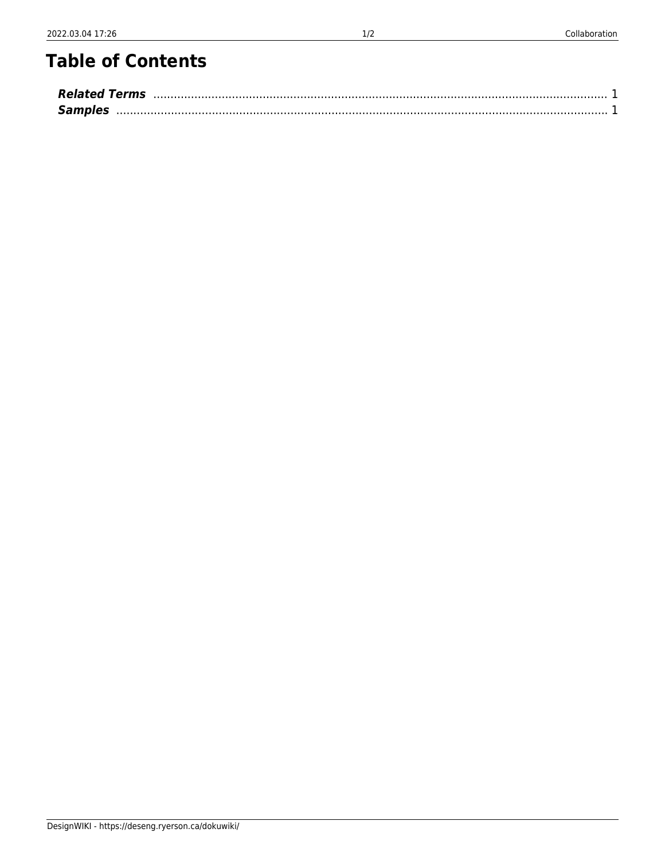## **Table of Contents**

| <b>Related Terms</b> |  |
|----------------------|--|
| <b>Samples</b>       |  |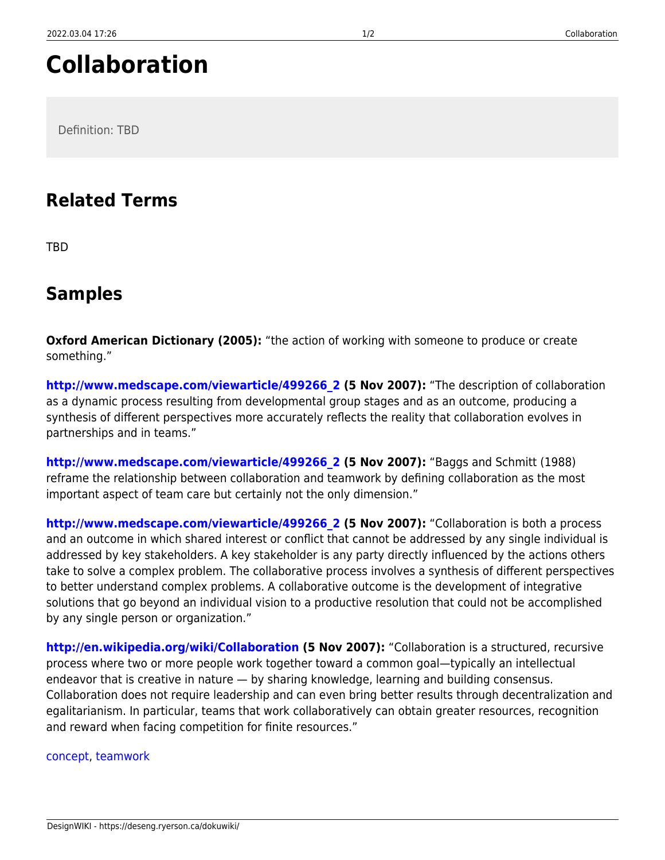## **Collaboration**

Definition: TBD

## <span id="page-2-0"></span>**Related Terms**

TBD

## <span id="page-2-1"></span>**Samples**

**Oxford American Dictionary (2005):** "the action of working with someone to produce or create something."

**[http://www.medscape.com/viewarticle/499266\\_2](http://www.medscape.com/viewarticle/499266_2) (5 Nov 2007):** "The description of collaboration as a dynamic process resulting from developmental group stages and as an outcome, producing a synthesis of different perspectives more accurately reflects the reality that collaboration evolves in partnerships and in teams."

**[http://www.medscape.com/viewarticle/499266\\_2](http://www.medscape.com/viewarticle/499266_2) (5 Nov 2007):** "Baggs and Schmitt (1988) reframe the relationship between collaboration and teamwork by defining collaboration as the most important aspect of team care but certainly not the only dimension."

**[http://www.medscape.com/viewarticle/499266\\_2](http://www.medscape.com/viewarticle/499266_2) (5 Nov 2007):** "Collaboration is both a process and an outcome in which shared interest or conflict that cannot be addressed by any single individual is addressed by key stakeholders. A key stakeholder is any party directly influenced by the actions others take to solve a complex problem. The collaborative process involves a synthesis of different perspectives to better understand complex problems. A collaborative outcome is the development of integrative solutions that go beyond an individual vision to a productive resolution that could not be accomplished by any single person or organization."

**<http://en.wikipedia.org/wiki/Collaboration> (5 Nov 2007):** "Collaboration is a structured, recursive process where two or more people work together toward a common goal—typically an intellectual endeavor that is creative in nature — by sharing knowledge, learning and building consensus. Collaboration does not require leadership and can even bring better results through decentralization and egalitarianism. In particular, teams that work collaboratively can obtain greater resources, recognition and reward when facing competition for finite resources."

[concept,](https://deseng.ryerson.ca/dokuwiki/tag:concept?do=showtag&tag=concept) [teamwork](https://deseng.ryerson.ca/dokuwiki/tag:teamwork?do=showtag&tag=teamwork)